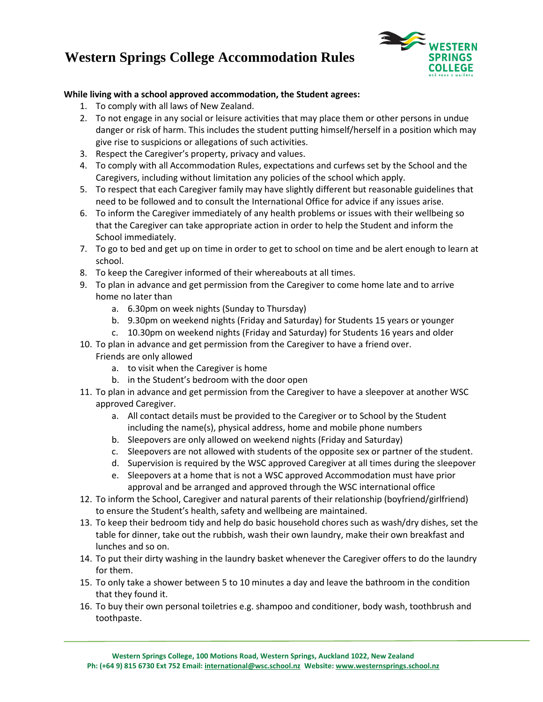## **Western Springs College Accommodation Rules**



## **While living with a school approved accommodation, the Student agrees:**

- 1. To comply with all laws of New Zealand.
- 2. To not engage in any social or leisure activities that may place them or other persons in undue danger or risk of harm. This includes the student putting himself/herself in a position which may give rise to suspicions or allegations of such activities.
- 3. Respect the Caregiver's property, privacy and values.
- 4. To comply with all Accommodation Rules, expectations and curfews set by the School and the Caregivers, including without limitation any policies of the school which apply.
- 5. To respect that each Caregiver family may have slightly different but reasonable guidelines that need to be followed and to consult the International Office for advice if any issues arise.
- 6. To inform the Caregiver immediately of any health problems or issues with their wellbeing so that the Caregiver can take appropriate action in order to help the Student and inform the School immediately.
- 7. To go to bed and get up on time in order to get to school on time and be alert enough to learn at school.
- 8. To keep the Caregiver informed of their whereabouts at all times.
- 9. To plan in advance and get permission from the Caregiver to come home late and to arrive home no later than
	- a. 6.30pm on week nights (Sunday to Thursday)
	- b. 9.30pm on weekend nights (Friday and Saturday) for Students 15 years or younger
	- c. 10.30pm on weekend nights (Friday and Saturday) for Students 16 years and older
- 10. To plan in advance and get permission from the Caregiver to have a friend over. Friends are only allowed
	- a. to visit when the Caregiver is home

- b. in the Student's bedroom with the door open
- 11. To plan in advance and get permission from the Caregiver to have a sleepover at another WSC approved Caregiver.
	- a. All contact details must be provided to the Caregiver or to School by the Student including the name(s), physical address, home and mobile phone numbers
	- b. Sleepovers are only allowed on weekend nights (Friday and Saturday)
	- c. Sleepovers are not allowed with students of the opposite sex or partner of the student.
	- d. Supervision is required by the WSC approved Caregiver at all times during the sleepover
	- e. Sleepovers at a home that is not a WSC approved Accommodation must have prior approval and be arranged and approved through the WSC international office
- 12. To inform the School, Caregiver and natural parents of their relationship (boyfriend/girlfriend) to ensure the Student's health, safety and wellbeing are maintained.
- 13. To keep their bedroom tidy and help do basic household chores such as wash/dry dishes, set the table for dinner, take out the rubbish, wash their own laundry, make their own breakfast and lunches and so on.
- 14. To put their dirty washing in the laundry basket whenever the Caregiver offers to do the laundry for them.
- 15. To only take a shower between 5 to 10 minutes a day and leave the bathroom in the condition that they found it.
- 16. To buy their own personal toiletries e.g. shampoo and conditioner, body wash, toothbrush and toothpaste.